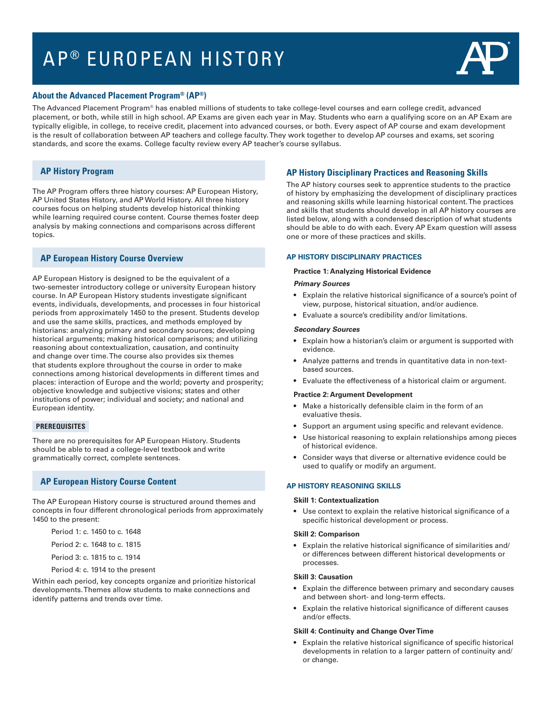# AP<sup>®</sup> EUROPEAN HISTORY



## **About the Advanced Placement Program® (AP®)**

The Advanced Placement Program® has enabled millions of students to take college-level courses and earn college credit, advanced placement, or both, while still in high school. AP Exams are given each year in May. Students who earn a qualifying score on an AP Exam are typically eligible, in college, to receive credit, placement into advanced courses, or both. Every aspect of AP course and exam development is the result of collaboration between AP teachers and college faculty. They work together to develop AP courses and exams, set scoring standards, and score the exams. College faculty review every AP teacher's course syllabus.

# **AP History Program**

The AP Program offers three history courses: AP European History, AP United States History, and AP World History. All three history courses focus on helping students develop historical thinking while learning required course content. Course themes foster deep analysis by making connections and comparisons across different topics.

# **AP European History Course Overview**

AP European History is designed to be the equivalent of a two-semester introductory college or university European history course. In AP European History students investigate significant events, individuals, developments, and processes in four historical periods from approximately 1450 to the present. Students develop and use the same skills, practices, and methods employed by historians: analyzing primary and secondary sources; developing historical arguments; making historical comparisons; and utilizing reasoning about contextualization, causation, and continuity and change over time. The course also provides six themes that students explore throughout the course in order to make connections among historical developments in different times and places: interaction of Europe and the world; poverty and prosperity; objective knowledge and subjective visions; states and other institutions of power; individual and society; and national and European identity.

## **PREREQUISITES**

There are no prerequisites for AP European History. Students should be able to read a college-level textbook and write grammatically correct, complete sentences.

# **AP European History Course Content**

The AP European History course is structured around themes and concepts in four different chronological periods from approximately 1450 to the present:

Period 1: c. 1450 to c. 1648

Period 2: c. 1648 to c. 1815 Period 3: c. 1815 to c. 1914

Period 4: c. 1914 to the present

Within each period, key concepts organize and prioritize historical developments. Themes allow students to make connections and identify patterns and trends over time.

# **AP History Disciplinary Practices and Reasoning Skills**

The AP history courses seek to apprentice students to the practice of history by emphasizing the development of disciplinary practices and reasoning skills while learning historical content. The practices and skills that students should develop in all AP history courses are listed below, along with a condensed description of what students should be able to do with each. Every AP Exam question will assess one or more of these practices and skills.

## **AP HISTORY DISCIPLINARY PRACTICES**

### **Practice 1: Analyzing Historical Evidence**

#### **Primary Sources**

- Explain the relative historical significance of a source's point of view, purpose, historical situation, and/or audience.
- • Evaluate a source's credibility and/or limitations.

#### **Secondary Sources**

- Explain how a historian's claim or argument is supported with evidence.
- Analyze patterns and trends in quantitative data in non-textbased sources.
- Evaluate the effectiveness of a historical claim or argument.

#### **Practice 2: Argument Development**

- • Make a historically defensible claim in the form of an evaluative thesis.
- Support an argument using specific and relevant evidence.
- Use historical reasoning to explain relationships among pieces of historical evidence.
- Consider ways that diverse or alternative evidence could be used to qualify or modify an argument.

## **AP HISTORY REASONING SKILLS**

#### **Skill 1: Contextualization**

• Use context to explain the relative historical significance of a specific historical development or process.

#### **Skill 2: Comparison**

• Explain the relative historical significance of similarities and/ or differences between different historical developments or processes.

#### **Skill 3: Causation**

- Explain the difference between primary and secondary causes and between short- and long-term effects.
- Explain the relative historical significance of different causes and/or effects.

#### **Skill 4: Continuity and Change Over Time**

Explain the relative historical significance of specific historical developments in relation to a larger pattern of continuity and/ or change.